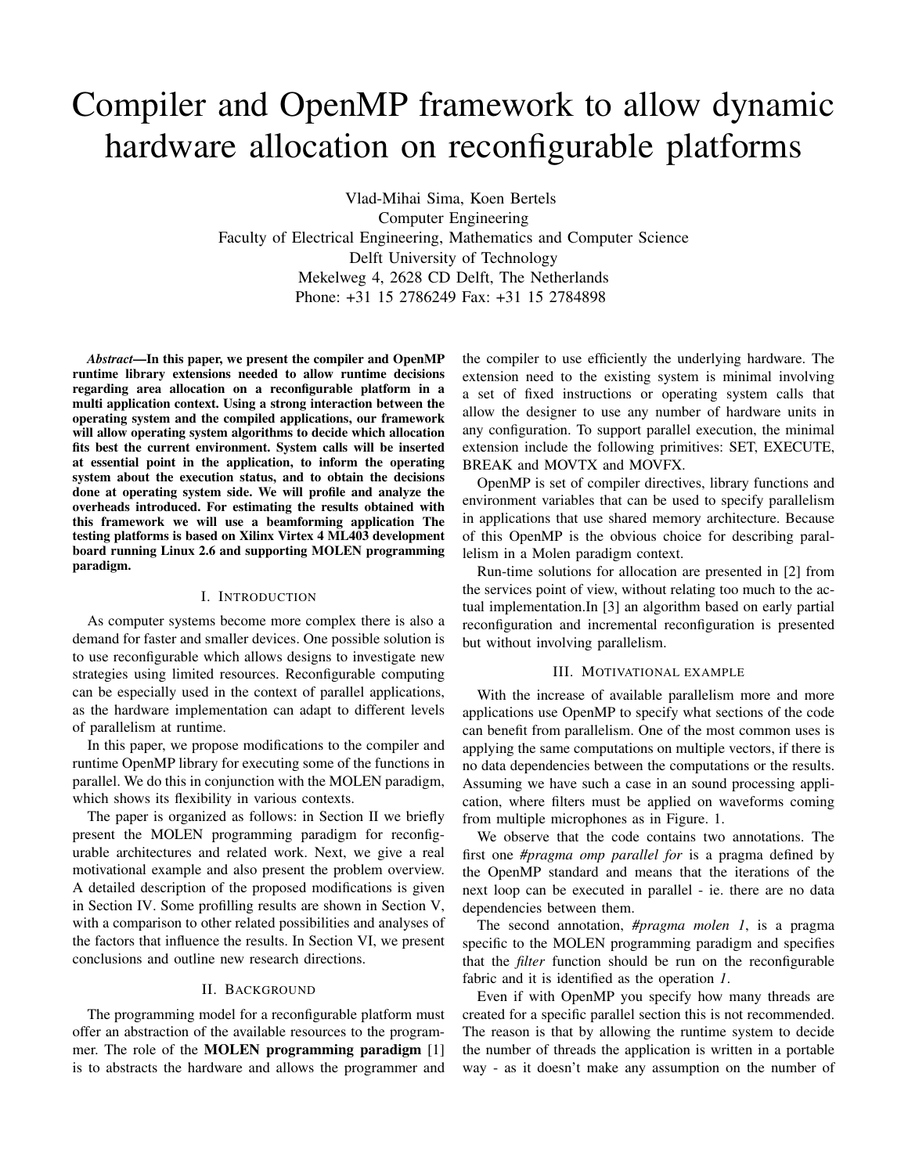# Compiler and OpenMP framework to allow dynamic hardware allocation on reconfigurable platforms

Vlad-Mihai Sima, Koen Bertels Computer Engineering Faculty of Electrical Engineering, Mathematics and Computer Science Delft University of Technology Mekelweg 4, 2628 CD Delft, The Netherlands Phone: +31 15 2786249 Fax: +31 15 2784898

*Abstract*—In this paper, we present the compiler and OpenMP runtime library extensions needed to allow runtime decisions regarding area allocation on a reconfigurable platform in a multi application context. Using a strong interaction between the operating system and the compiled applications, our framework will allow operating system algorithms to decide which allocation fits best the current environment. System calls will be inserted at essential point in the application, to inform the operating system about the execution status, and to obtain the decisions done at operating system side. We will profile and analyze the overheads introduced. For estimating the results obtained with this framework we will use a beamforming application The testing platforms is based on Xilinx Virtex 4 ML403 development board running Linux 2.6 and supporting MOLEN programming paradigm.

#### I. INTRODUCTION

As computer systems become more complex there is also a demand for faster and smaller devices. One possible solution is to use reconfigurable which allows designs to investigate new strategies using limited resources. Reconfigurable computing can be especially used in the context of parallel applications, as the hardware implementation can adapt to different levels of parallelism at runtime.

In this paper, we propose modifications to the compiler and runtime OpenMP library for executing some of the functions in parallel. We do this in conjunction with the MOLEN paradigm, which shows its flexibility in various contexts.

The paper is organized as follows: in Section II we briefly present the MOLEN programming paradigm for reconfigurable architectures and related work. Next, we give a real motivational example and also present the problem overview. A detailed description of the proposed modifications is given in Section IV. Some profilling results are shown in Section V, with a comparison to other related possibilities and analyses of the factors that influence the results. In Section VI, we present conclusions and outline new research directions.

#### II. BACKGROUND

The programming model for a reconfigurable platform must offer an abstraction of the available resources to the programmer. The role of the MOLEN programming paradigm [1] is to abstracts the hardware and allows the programmer and the compiler to use efficiently the underlying hardware. The extension need to the existing system is minimal involving a set of fixed instructions or operating system calls that allow the designer to use any number of hardware units in any configuration. To support parallel execution, the minimal extension include the following primitives: SET, EXECUTE, BREAK and MOVTX and MOVFX.

OpenMP is set of compiler directives, library functions and environment variables that can be used to specify parallelism in applications that use shared memory architecture. Because of this OpenMP is the obvious choice for describing parallelism in a Molen paradigm context.

Run-time solutions for allocation are presented in [2] from the services point of view, without relating too much to the actual implementation.In [3] an algorithm based on early partial reconfiguration and incremental reconfiguration is presented but without involving parallelism.

#### III. MOTIVATIONAL EXAMPLE

With the increase of available parallelism more and more applications use OpenMP to specify what sections of the code can benefit from parallelism. One of the most common uses is applying the same computations on multiple vectors, if there is no data dependencies between the computations or the results. Assuming we have such a case in an sound processing application, where filters must be applied on waveforms coming from multiple microphones as in Figure. 1.

We observe that the code contains two annotations. The first one *#pragma omp parallel for* is a pragma defined by the OpenMP standard and means that the iterations of the next loop can be executed in parallel - ie. there are no data dependencies between them.

The second annotation, *#pragma molen 1*, is a pragma specific to the MOLEN programming paradigm and specifies that the *filter* function should be run on the reconfigurable fabric and it is identified as the operation *1*.

Even if with OpenMP you specify how many threads are created for a specific parallel section this is not recommended. The reason is that by allowing the runtime system to decide the number of threads the application is written in a portable way - as it doesn't make any assumption on the number of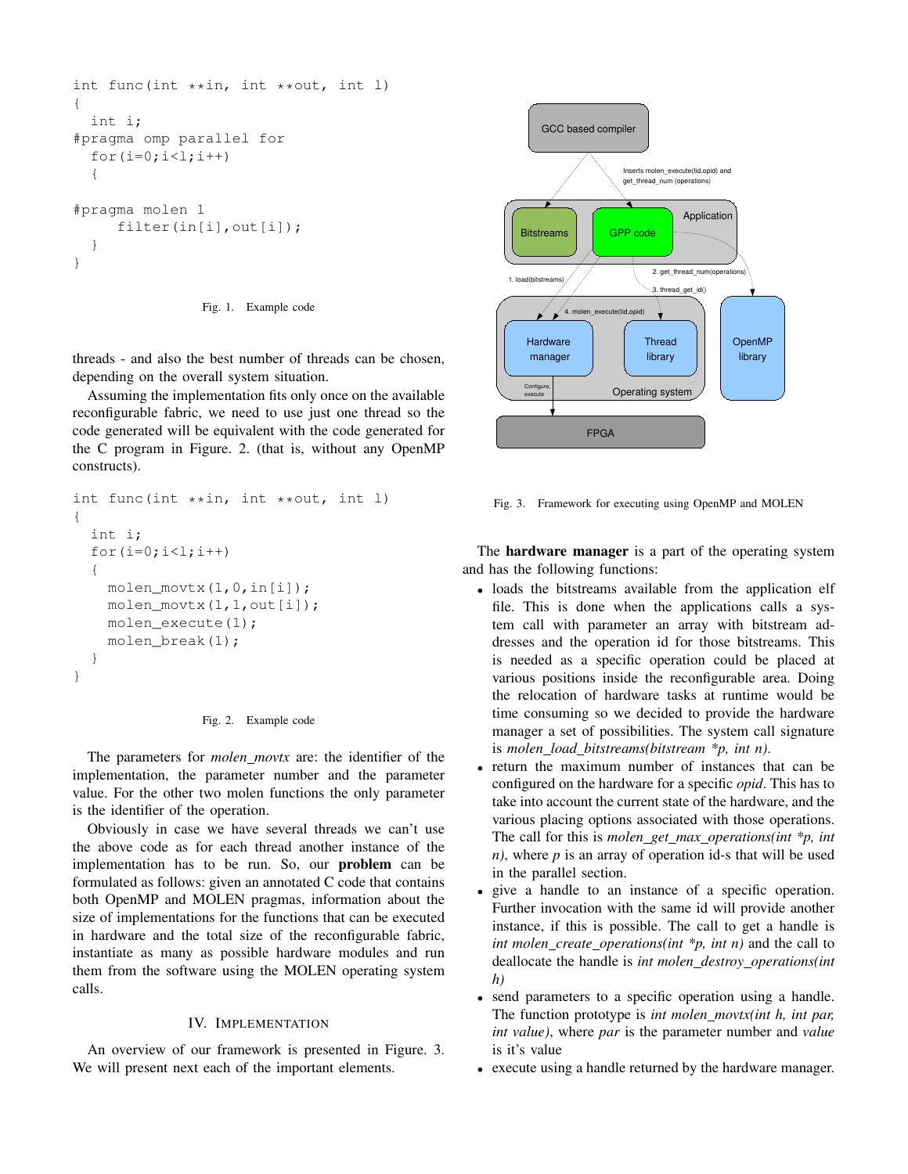```
int func(int **in, int **out, int l)
{
  int i;
#pragma omp parallel for
  for(i=0; i<1; i++){
#pragma molen 1
     filter(in[i], out[i]);
  }
}
```
Fig. 1. Example code

threads - and also the best number of threads can be chosen, depending on the overall system situation.

Assuming the implementation fits only once on the available reconfigurable fabric, we need to use just one thread so the code generated will be equivalent with the code generated for the C program in Figure. 2. (that is, without any OpenMP constructs).

```
int func(int **in, int **out, int l)
{
  int i;
  for(i=0; i<1; i++){
    molen_movtx(1,0,in[i]);
    molen movtx(1,1,out[i]);
    molen_execute(1);
    molen break(1);
  }
}
```


The parameters for *molen movtx* are: the identifier of the implementation, the parameter number and the parameter value. For the other two molen functions the only parameter is the identifier of the operation.

Obviously in case we have several threads we can't use the above code as for each thread another instance of the implementation has to be run. So, our problem can be formulated as follows: given an annotated C code that contains both OpenMP and MOLEN pragmas, information about the size of implementations for the functions that can be executed in hardware and the total size of the reconfigurable fabric, instantiate as many as possible hardware modules and run them from the software using the MOLEN operating system calls.

#### IV. IMPLEMENTATION

An overview of our framework is presented in Figure. 3. We will present next each of the important elements.



Fig. 3. Framework for executing using OpenMP and MOLEN

The hardware manager is a part of the operating system and has the following functions:

- loads the bitstreams available from the application elf file. This is done when the applications calls a system call with parameter an array with bitstream addresses and the operation id for those bitstreams. This is needed as a specific operation could be placed at various positions inside the reconfigurable area. Doing the relocation of hardware tasks at runtime would be time consuming so we decided to provide the hardware manager a set of possibilities. The system call signature is *molen load bitstreams(bitstream \*p, int n)*.
- return the maximum number of instances that can be configured on the hardware for a specific *opid*. This has to take into account the current state of the hardware, and the various placing options associated with those operations. The call for this is *molen get max operations(int \*p, int n)*, where *p* is an array of operation id-s that will be used in the parallel section.
- give a handle to an instance of a specific operation. Further invocation with the same id will provide another instance, if this is possible. The call to get a handle is *int molen\_create\_operations(int \*p, int n)* and the call to deallocate the handle is *int molen destroy operations(int h)*
- send parameters to a specific operation using a handle. The function prototype is *int molen movtx(int h, int par, int value)*, where *par* is the parameter number and *value* is it's value
- execute using a handle returned by the hardware manager.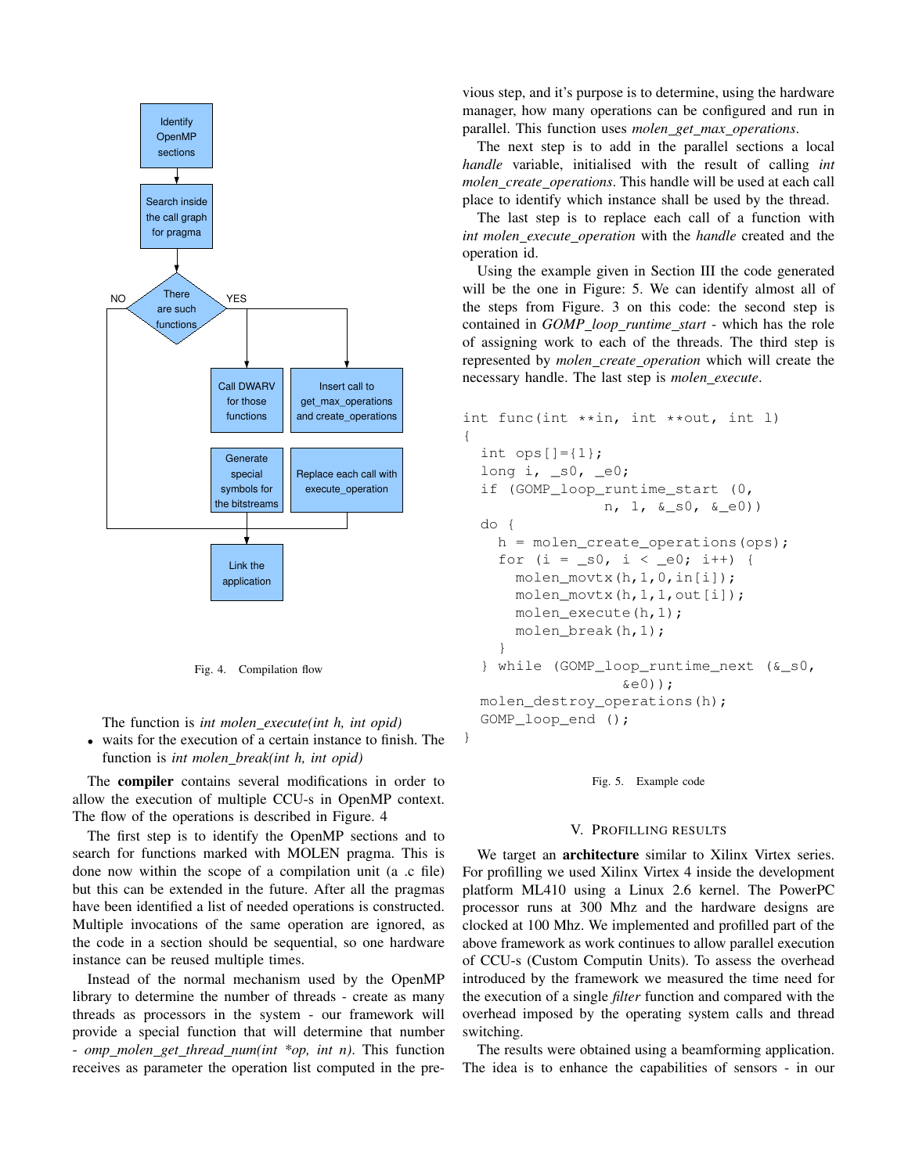

Fig. 4. Compilation flow

The function is *int molen execute(int h, int opid)*

• waits for the execution of a certain instance to finish. The function is *int molen break(int h, int opid)*

The compiler contains several modifications in order to allow the execution of multiple CCU-s in OpenMP context. The flow of the operations is described in Figure. 4

The first step is to identify the OpenMP sections and to search for functions marked with MOLEN pragma. This is done now within the scope of a compilation unit (a .c file) but this can be extended in the future. After all the pragmas have been identified a list of needed operations is constructed. Multiple invocations of the same operation are ignored, as the code in a section should be sequential, so one hardware instance can be reused multiple times.

Instead of the normal mechanism used by the OpenMP library to determine the number of threads - create as many threads as processors in the system - our framework will provide a special function that will determine that number - *omp molen get thread num(int \*op, int n)*. This function receives as parameter the operation list computed in the pre-

vious step, and it's purpose is to determine, using the hardware manager, how many operations can be configured and run in parallel. This function uses *molen get max operations*.

The next step is to add in the parallel sections a local *handle* variable, initialised with the result of calling *int molen create operations*. This handle will be used at each call place to identify which instance shall be used by the thread.

The last step is to replace each call of a function with *int molen execute operation* with the *handle* created and the operation id.

Using the example given in Section III the code generated will be the one in Figure: 5. We can identify almost all of the steps from Figure. 3 on this code: the second step is contained in *GOMP loop runtime start* - which has the role of assigning work to each of the threads. The third step is represented by *molen create operation* which will create the necessary handle. The last step is *molen execute*.

```
int func(int **in, int **out, int l)
{
  int ops[] = \{1\};
  long i, \_s0, \_e0;
  if (GOMP_loop_runtime_start (0,
                n, 1, &_s0, &_e0))
  do {
    h = molen_create_operations(ops);
    for (i = s0, i < e0; i++) {
      molen_movtx(h,1,0,in[i]);
      molen_movtx(h,1,1,out[i]);
      molen_execute(h,1);
      molen break(h,1);}
  } while (GOMP_loop_runtime_next (&_s0,
                   \&e0));
 molen_destroy_operations(h);
  GOMP loop end ();
}
```
Fig. 5. Example code

#### V. PROFILLING RESULTS

We target an architecture similar to Xilinx Virtex series. For profilling we used Xilinx Virtex 4 inside the development platform ML410 using a Linux 2.6 kernel. The PowerPC processor runs at 300 Mhz and the hardware designs are clocked at 100 Mhz. We implemented and profilled part of the above framework as work continues to allow parallel execution of CCU-s (Custom Computin Units). To assess the overhead introduced by the framework we measured the time need for the execution of a single *filter* function and compared with the overhead imposed by the operating system calls and thread switching.

The results were obtained using a beamforming application. The idea is to enhance the capabilities of sensors - in our